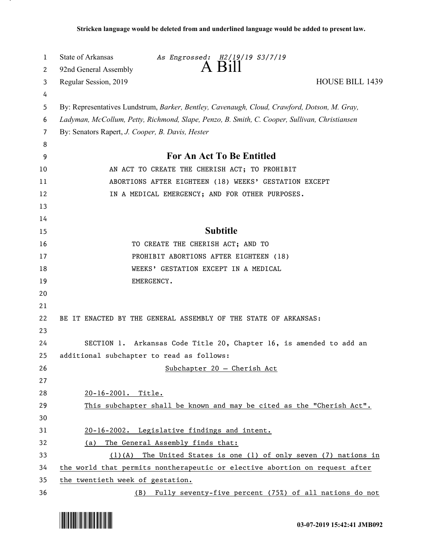| 1  | State of Arkansas                                | As Engrossed: H2/19/19 S3/7/19                                                                |                        |
|----|--------------------------------------------------|-----------------------------------------------------------------------------------------------|------------------------|
| 2  | 92nd General Assembly                            | A Bill                                                                                        |                        |
| 3  | Regular Session, 2019                            |                                                                                               | <b>HOUSE BILL 1439</b> |
| 4  |                                                  |                                                                                               |                        |
| 5  |                                                  | By: Representatives Lundstrum, Barker, Bentley, Cavenaugh, Cloud, Crawford, Dotson, M. Gray,  |                        |
| 6  |                                                  | Ladyman, McCollum, Petty, Richmond, Slape, Penzo, B. Smith, C. Cooper, Sullivan, Christiansen |                        |
| 7  | By: Senators Rapert, J. Cooper, B. Davis, Hester |                                                                                               |                        |
| 8  |                                                  |                                                                                               |                        |
| 9  |                                                  | For An Act To Be Entitled                                                                     |                        |
| 10 |                                                  | AN ACT TO CREATE THE CHERISH ACT; TO PROHIBIT                                                 |                        |
| 11 |                                                  | ABORTIONS AFTER EIGHTEEN (18) WEEKS' GESTATION EXCEPT                                         |                        |
| 12 |                                                  | IN A MEDICAL EMERGENCY; AND FOR OTHER PURPOSES.                                               |                        |
| 13 |                                                  |                                                                                               |                        |
| 14 |                                                  |                                                                                               |                        |
| 15 |                                                  | <b>Subtitle</b>                                                                               |                        |
| 16 |                                                  | TO CREATE THE CHERISH ACT; AND TO                                                             |                        |
| 17 |                                                  | PROHIBIT ABORTIONS AFTER EIGHTEEN (18)                                                        |                        |
| 18 |                                                  | WEEKS' GESTATION EXCEPT IN A MEDICAL                                                          |                        |
| 19 | EMERGENCY.                                       |                                                                                               |                        |
| 20 |                                                  |                                                                                               |                        |
| 21 |                                                  |                                                                                               |                        |
| 22 |                                                  | BE IT ENACTED BY THE GENERAL ASSEMBLY OF THE STATE OF ARKANSAS:                               |                        |
| 23 |                                                  |                                                                                               |                        |
| 24 |                                                  | SECTION 1. Arkansas Code Title 20, Chapter 16, is amended to add an                           |                        |
| 25 | additional subchapter to read as follows:        |                                                                                               |                        |
| 26 |                                                  | $Subchapter 20 - Cherish Act$                                                                 |                        |
| 27 |                                                  |                                                                                               |                        |
| 28 | 20-16-2001. Title.                               |                                                                                               |                        |
| 29 |                                                  | This subchapter shall be known and may be cited as the "Cherish Act".                         |                        |
| 30 |                                                  |                                                                                               |                        |
| 31 |                                                  | 20-16-2002. Legislative findings and intent.                                                  |                        |
| 32 | (a)                                              | The General Assembly finds that:                                                              |                        |
| 33 |                                                  | $(1)(A)$ The United States is one (1) of only seven (7) nations in                            |                        |
| 34 |                                                  | the world that permits nontherapeutic or elective abortion on request after                   |                        |
| 35 | the twentieth week of gestation.                 |                                                                                               |                        |
| 36 |                                                  | (B) Fully seventy-five percent (75%) of all nations do not                                    |                        |

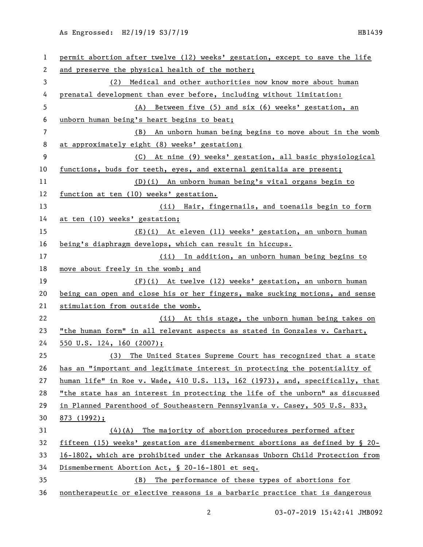| 1  | permit abortion after twelve (12) weeks' gestation, except to save the life   |  |
|----|-------------------------------------------------------------------------------|--|
| 2  | and preserve the physical health of the mother;                               |  |
| 3  | Medical and other authorities now know more about human<br>(2)                |  |
| 4  | prenatal development than ever before, including without limitation:          |  |
| 5  | Between five (5) and six (6) weeks' gestation, an<br>(A)                      |  |
| 6  | unborn human being's heart begins to beat;                                    |  |
| 7  | (B) An unborn human being begins to move about in the womb                    |  |
| 8  | at approximately eight (8) weeks' gestation;                                  |  |
| 9  | (C) At nine (9) weeks' gestation, all basic physiological                     |  |
| 10 | functions, buds for teeth, eyes, and external genitalia are present;          |  |
| 11 | (D)(i) An unborn human being's vital organs begin to                          |  |
| 12 | function at ten (10) weeks' gestation.                                        |  |
| 13 | (ii) Hair, fingernails, and toenails begin to form                            |  |
| 14 | at ten (10) weeks' gestation;                                                 |  |
| 15 | (E)(i) At eleven (11) weeks' gestation, an unborn human                       |  |
| 16 | being's diaphragm develops, which can result in hiccups.                      |  |
| 17 | (ii) In addition, an unborn human being begins to                             |  |
| 18 | move about freely in the womb; and                                            |  |
| 19 | $(F)(i)$ At twelve (12) weeks' gestation, an unborn human                     |  |
| 20 | being can open and close his or her fingers, make sucking motions, and sense  |  |
| 21 | stimulation from outside the womb.                                            |  |
| 22 | (ii) At this stage, the unborn human being takes on                           |  |
| 23 | "the human form" in all relevant aspects as stated in Gonzales v. Carhart,    |  |
| 24 | $\frac{550 \text{ U.S.}}{24, 160}$ (2007);                                    |  |
| 25 | (3) The United States Supreme Court has recognized that a state               |  |
| 26 | has an "important and legitimate interest in protecting the potentiality of   |  |
| 27 | human life" in Roe v. Wade, 410 U.S. 113, 162 (1973), and, specifically, that |  |
| 28 | "the state has an interest in protecting the life of the unborn" as discussed |  |
| 29 | in Planned Parenthood of Southeastern Pennsylvania v. Casey, 505 U.S. 833,    |  |
| 30 | $873$ (1992);                                                                 |  |
| 31 | $(4)(A)$ The majority of abortion procedures performed after                  |  |
| 32 | fifteen (15) weeks' gestation are dismemberment abortions as defined by § 20- |  |
| 33 | 16-1802, which are prohibited under the Arkansas Unborn Child Protection from |  |
| 34 | Dismemberment Abortion Act, § 20-16-1801 et seq.                              |  |
| 35 | The performance of these types of abortions for<br>(B)                        |  |
| 36 | nontherapeutic or elective reasons is a barbaric practice that is dangerous   |  |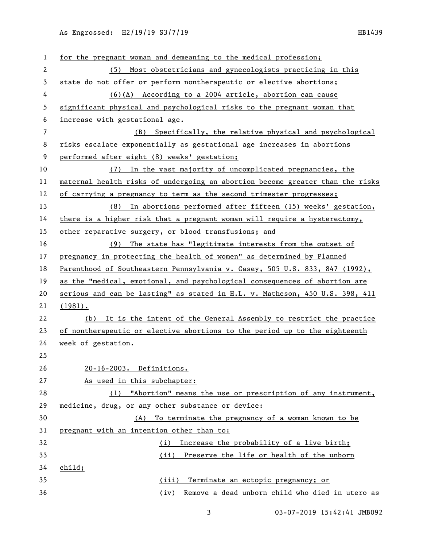| $\mathbf{1}$ | for the pregnant woman and demeaning to the medical profession;               |  |
|--------------|-------------------------------------------------------------------------------|--|
| $\mathbf{2}$ | (5) Most obstetricians and gynecologists practicing in this                   |  |
| 3            | state do not offer or perform nontherapeutic or elective abortions;           |  |
| 4            | (6)(A) According to a 2004 article, abortion can cause                        |  |
| 5            | significant physical and psychological risks to the pregnant woman that       |  |
| 6            | increase with gestational age.                                                |  |
| 7            | (B) Specifically, the relative physical and psychological                     |  |
| 8            | risks escalate exponentially as gestational age increases in abortions        |  |
| 9            | performed after eight (8) weeks' gestation;                                   |  |
| 10           | (7) In the vast majority of uncomplicated pregnancies, the                    |  |
| 11           | maternal health risks of undergoing an abortion become greater than the risks |  |
| 12           | of carrying a pregnancy to term as the second trimester progresses;           |  |
| 13           | (8) In abortions performed after fifteen (15) weeks' gestation,               |  |
| 14           | there is a higher risk that a pregnant woman will require a hysterectomy,     |  |
| 15           | other reparative surgery, or blood transfusions; and                          |  |
| 16           | (9) The state has "legitimate interests from the outset of                    |  |
| 17           | pregnancy in protecting the health of women" as determined by Planned         |  |
| 18           | Parenthood of Southeastern Pennsylvania v. Casey, 505 U.S. 833, 847 (1992),   |  |
| 19           | as the "medical, emotional, and psychological consequences of abortion are    |  |
| 20           | serious and can be lasting" as stated in H.L. v. Matheson, 450 U.S. 398, 411  |  |
| 21           | $(1981)$ .                                                                    |  |
| 22           | (b) It is the intent of the General Assembly to restrict the practice         |  |
| 23           | of nontherapeutic or elective abortions to the period up to the eighteenth    |  |
| 24           | week of gestation.                                                            |  |
| 25           |                                                                               |  |
| 26           | 20-16-2003. Definitions.                                                      |  |
| 27           | As used in this subchapter:                                                   |  |
| 28           | (1) "Abortion" means the use or prescription of any instrument,               |  |
| 29           | medicine, drug, or any other substance or device:                             |  |
| 30           | To terminate the pregnancy of a woman known to be<br>(A)                      |  |
| 31           | pregnant with an intention other than to:                                     |  |
| 32           | Increase the probability of a live birth;<br>(i)                              |  |
| 33           | (ii) Preserve the life or health of the unborn                                |  |
| 34           | child;                                                                        |  |
| 35           | (iii) Terminate an ectopic pregnancy; or                                      |  |
| 36           | Remove a dead unborn child who died in utero as<br>(iv)                       |  |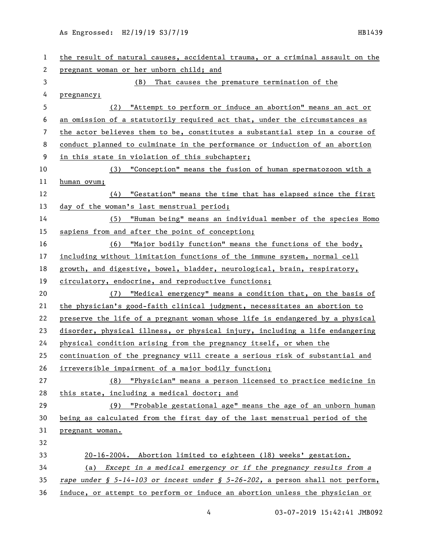| 1  | the result of natural causes, accidental trauma, or a criminal assault on the |  |
|----|-------------------------------------------------------------------------------|--|
| 2  | pregnant woman or her unborn child; and                                       |  |
| 3  | (B) That causes the premature termination of the                              |  |
| 4  | pregnancy;                                                                    |  |
| 5  | (2) "Attempt to perform or induce an abortion" means an act or                |  |
| 6  | an omission of a statutorily required act that, under the circumstances as    |  |
| 7  | the actor believes them to be, constitutes a substantial step in a course of  |  |
| 8  | conduct planned to culminate in the performance or induction of an abortion   |  |
| 9  | in this state in violation of this subchapter;                                |  |
| 10 | (3) "Conception" means the fusion of human spermatozoon with a                |  |
| 11 | human ovum;                                                                   |  |
| 12 | $(4)$ "Gestation" means the time that has elapsed since the first             |  |
| 13 | day of the woman's last menstrual period;                                     |  |
| 14 | (5) "Human being" means an individual member of the species Homo              |  |
| 15 | sapiens from and after the point of conception;                               |  |
| 16 | (6) "Major bodily function" means the functions of the body,                  |  |
| 17 | including without limitation functions of the immune system, normal cell      |  |
| 18 | growth, and digestive, bowel, bladder, neurological, brain, respiratory,      |  |
| 19 | circulatory, endocrine, and reproductive functions;                           |  |
| 20 | (7) "Medical emergency" means a condition that, on the basis of               |  |
| 21 | the physician's good-faith clinical judgment, necessitates an abortion to     |  |
| 22 | preserve the life of a pregnant woman whose life is endangered by a physical  |  |
| 23 | disorder, physical illness, or physical injury, including a life endangering  |  |
| 24 | physical condition arising from the pregnancy itself, or when the             |  |
| 25 | continuation of the pregnancy will create a serious risk of substantial and   |  |
| 26 | irreversible impairment of a major bodily function;                           |  |
| 27 | (8) "Physician" means a person licensed to practice medicine in               |  |
| 28 | this state, including a medical doctor; and                                   |  |
| 29 | (9) "Probable gestational age" means the age of an unborn human               |  |
| 30 | being as calculated from the first day of the last menstrual period of the    |  |
| 31 | pregnant woman.                                                               |  |
| 32 |                                                                               |  |
| 33 | 20-16-2004. Abortion limited to eighteen (18) weeks' gestation.               |  |
| 34 | (a) Except in a medical emergency or if the pregnancy results from a          |  |
| 35 | rape under § 5-14-103 or incest under § 5-26-202, a person shall not perform, |  |
| 36 | induce, or attempt to perform or induce an abortion unless the physician or   |  |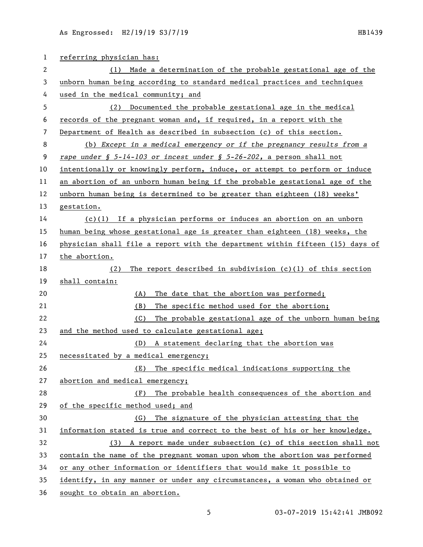| $\mathbf{1}$ | referring physician has:                                                      |  |
|--------------|-------------------------------------------------------------------------------|--|
| 2            | Made a determination of the probable gestational age of the<br>(1)            |  |
| 3            | unborn human being according to standard medical practices and techniques     |  |
| 4            | used in the medical community; and                                            |  |
| 5            | (2) Documented the probable gestational age in the medical                    |  |
| 6            | records of the pregnant woman and, if required, in a report with the          |  |
| 7            | Department of Health as described in subsection (c) of this section.          |  |
| 8            | (b) Except in a medical emergency or if the pregnancy results from a          |  |
| 9            | rape under § 5-14-103 or incest under § 5-26-202, a person shall not          |  |
| 10           | intentionally or knowingly perform, induce, or attempt to perform or induce   |  |
| 11           | an abortion of an unborn human being if the probable gestational age of the   |  |
| 12           | unborn human being is determined to be greater than eighteen (18) weeks'      |  |
| 13           | gestation.                                                                    |  |
| 14           | $(c)(1)$ If a physician performs or induces an abortion on an unborn          |  |
| 15           | human being whose gestational age is greater than eighteen (18) weeks, the    |  |
| 16           | physician shall file a report with the department within fifteen (15) days of |  |
| 17           | the abortion.                                                                 |  |
| 18           | The report described in subdivision $(c)(1)$ of this section<br>(2)           |  |
| 19           | shall contain:                                                                |  |
| 20           | The date that the abortion was performed;<br>(A)                              |  |
| 21           | (B)<br>The specific method used for the abortion;                             |  |
| 22           | The probable gestational age of the unborn human being<br>(C)                 |  |
| 23           | and the method used to calculate gestational age;                             |  |
| 24           | (D) A statement declaring that the abortion was                               |  |
| 25           | necessitated by a medical emergency;                                          |  |
| 26           | The specific medical indications supporting the<br>(E)                        |  |
| 27           | abortion and medical emergency;                                               |  |
| 28           | The probable health consequences of the abortion and<br>(F)                   |  |
| 29           | of the specific method used; and                                              |  |
| 30           | The signature of the physician attesting that the<br>(G)                      |  |
| 31           | information stated is true and correct to the best of his or her knowledge.   |  |
| 32           | (3) A report made under subsection (c) of this section shall not              |  |
| 33           | contain the name of the pregnant woman upon whom the abortion was performed   |  |
| 34           | or any other information or identifiers that would make it possible to        |  |
| 35           | identify, in any manner or under any circumstances, a woman who obtained or   |  |
| 36           | sought to obtain an abortion.                                                 |  |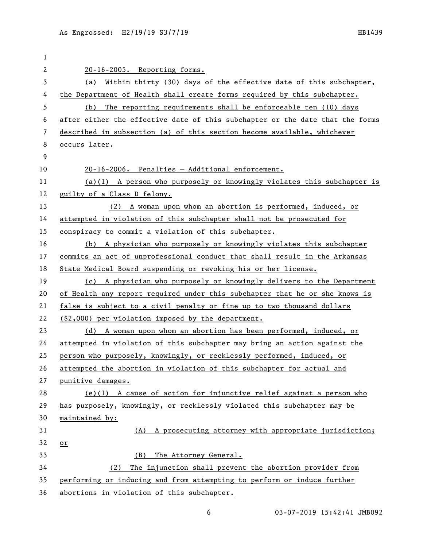| 1  |                                                                               |
|----|-------------------------------------------------------------------------------|
| 2  | 20-16-2005. Reporting forms.                                                  |
| 3  | (a) Within thirty (30) days of the effective date of this subchapter,         |
| 4  | the Department of Health shall create forms required by this subchapter.      |
| 5  | The reporting requirements shall be enforceable ten (10) days<br>(b)          |
| 6  | after either the effective date of this subchapter or the date that the forms |
| 7  | described in subsection (a) of this section become available, whichever       |
| 8  | occurs later.                                                                 |
| 9  |                                                                               |
| 10 | 20-16-2006. Penalties - Additional enforcement.                               |
| 11 | $(a)(1)$ A person who purposely or knowingly violates this subchapter is      |
| 12 | guilty of a Class D felony.                                                   |
| 13 | (2) A woman upon whom an abortion is performed, induced, or                   |
| 14 | attempted in violation of this subchapter shall not be prosecuted for         |
| 15 | conspiracy to commit a violation of this subchapter.                          |
| 16 | (b) A physician who purposely or knowingly violates this subchapter           |
| 17 | commits an act of unprofessional conduct that shall result in the Arkansas    |
| 18 | State Medical Board suspending or revoking his or her license.                |
| 19 | (c) A physician who purposely or knowingly delivers to the Department         |
| 20 | of Health any report required under this subchapter that he or she knows is   |
| 21 | false is subject to a civil penalty or fine up to two thousand dollars        |
| 22 | (\$2,000) per violation imposed by the department.                            |
| 23 | (d) A woman upon whom an abortion has been performed, induced, or             |
| 24 | attempted in violation of this subchapter may bring an action against the     |
| 25 | person who purposely, knowingly, or recklessly performed, induced, or         |
| 26 | attempted the abortion in violation of this subchapter for actual and         |
| 27 | punitive damages.                                                             |
| 28 | $(e)(1)$ A cause of action for injunctive relief against a person who         |
| 29 | has purposely, knowingly, or recklessly violated this subchapter may be       |
| 30 | maintained by:                                                                |
| 31 | A prosecuting attorney with appropriate jurisdiction;<br>(A)                  |
| 32 | $\alpha r$                                                                    |
| 33 | The Attorney General.<br>(B)                                                  |
| 34 | The injunction shall prevent the abortion provider from<br>(2)                |
| 35 | performing or inducing and from attempting to perform or induce further       |
| 36 | abortions in violation of this subchapter.                                    |